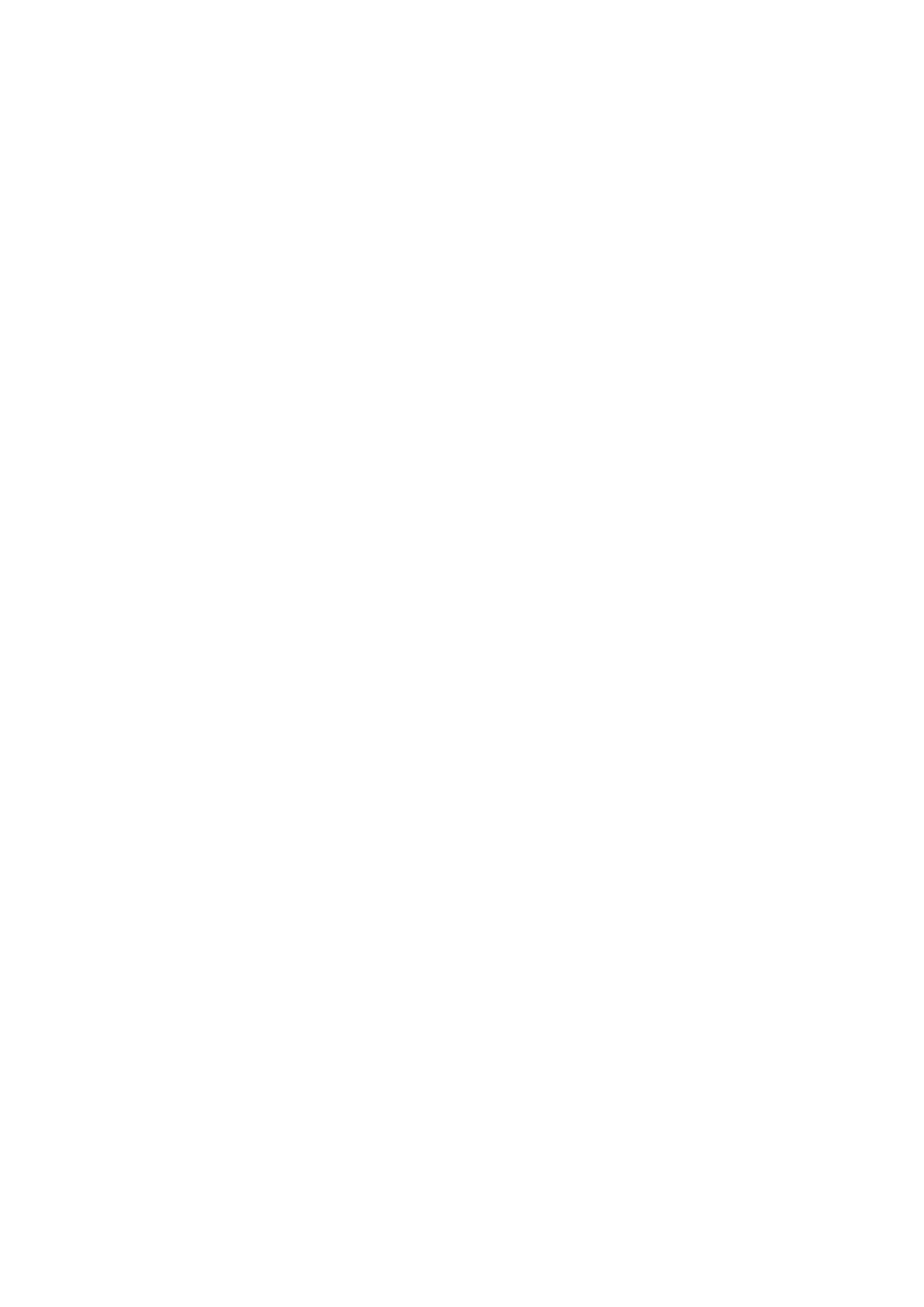$^\dagger$  & XU RuRen $^{1\dagger}$ 

<sup>1</sup> State Key Laboratory of Inorganic Synthesis and Preparative Chemistry, Jilin University, Changchun 130012, China;  $^2$  Department of Chemistry, Northeast Normal University, Changchun 130117, China

**The database of open-framework aluminophosphate (AlPO) syntheses has been established, which includes about 1600 synthetic records. Data analysis has been done on the basis of the framework composition, structure dimension, pore ring, and organic template. This database will serve as useful guidance for the rational synthesis of microporous functional materials.** 

aluminophosphates, open framework, synthesis, database

## **1 Introduction**

Open-framework aluminophosphates (AlPOs) constitute an important family of zeolites and related microporous materials since the first discovery of aluminophosphate molecular sieves AlPO<sub>4</sub>-*n* in 1982 by U.C.C.<sup>[1]</sup>. AlPO<sub>4</sub>-*n* is made of the strict alternation of  $AIO<sub>4</sub>$  and  $PO<sub>4</sub>$  tetrahedra through corner sharing to form a neutral framework with  $A/I^{2}$ . Microporous aluminophosphates have aroused wide interest because of their rich structural chemistry and potential applications in catalysis, adsorption and assembly<sup>[3,4]</sup>. Great progress has been made in the synthesis of open-framework aluminophosphates during the past 20 years. So far, more than 60 kinds of aluminophosphate molecular sieves have been successfully synthesized. Notable examples are VFI with extra-large 18-ring channels<sup>[5]</sup> and JRY with 10-ring chiral channels<sup>[6]</sup>. Besides, a large number of aluminophosphates with anionic frameworks have been prepared with zero dimensional (0-D) clusters, 1-D chains, 2-D layers and 3-D open-frameworks. Their Al/P ratios are found as 1/1, 1/2, 2/3, 3/4, 4/5, 5/6, 6/7, 11/12 and  $12/13$  and so forth<sup>[7,8]</sup>. Notable examples include JDF-20 with the largest 20-ring channel<sup>[9]</sup>, and AlPO-CJB1 with Brönsted acidic center<sup>[10]</sup>.

Recently, the rational synthesis of new materials has

become significantly important in the field of materials chemistry. However, the designed synthesis of microporous materials is of great challenge because of unclear crystallization mechanism under hydrothermal or solvothermal conditions<sup>[11,12]</sup>. Our research group has been making continuous efforts on the designed synthesis of microporous materials. For example, we developed some computational methods for the design of zeolite structures with specified channels<sup>[13–15]</sup> and AlPO structures with special  $A$ <sup> $/p$ </sup> ratios<sup>[16]</sup> as well as methods for the design of extra-large pore open-framework structures in terms of the concept of scale-chemistry $[17]$ . We also explored the template-directed approach to the synthesis of the open-framework materials based on the host-guest interactions<sup>[18-20]</sup>. However, the crystallization kinetics of such materials is rather complex. A better understanding of the relationship between the synthetic factors and the resulting structures is of crucial importance to rationalize the synthesis of the target microporous materials. Therefore, we have built up a database of AlPO syntheses<sup>[21]</sup> containing detailed synthesis information of

Received July 17, 2009; accepted August 19, 2009

doi: 10.1007/s11426-009-0266-x

† Corresponding author (email: jihong@jlu.edu.cn, rrxu@jlu.edu.cn)

Supported by the National Natural Science Foundation of China (Grant No. 20871051), the State Basic Research Project of China (2006CB806103) and the Major International Joint Research Project of China (20720102039)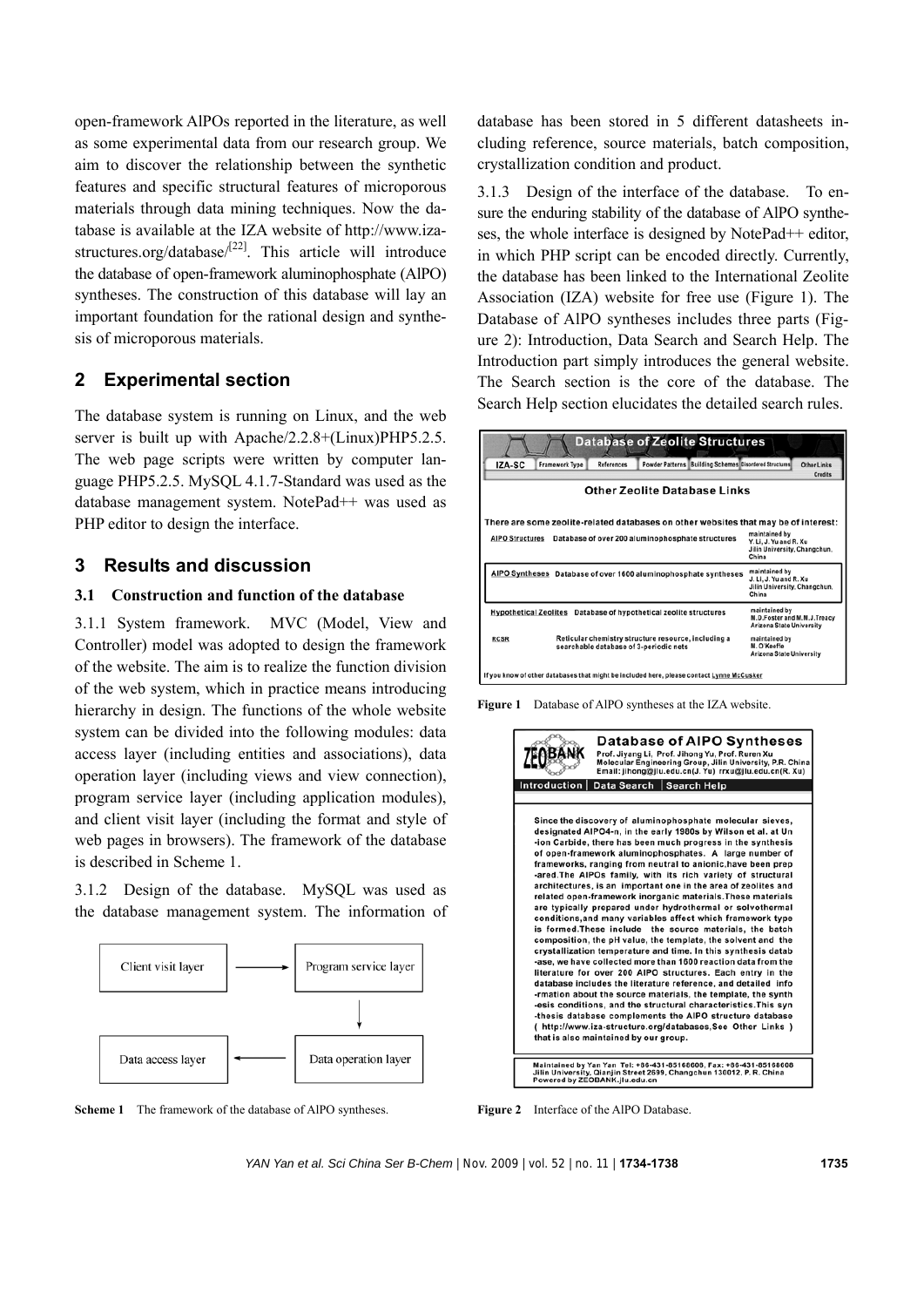open-framework AlPOs reported in the literature, as well as some experimental data from our research group. We aim to discover the relationship between the synthetic features and specific structural features of microporous materials through data mining techniques. Now the database is available at the IZA website of http://www.izastructures.org/database/ $[22]$ . This article will introduce the database of open-framework aluminophosphate (AlPO) syntheses. The construction of this database will lay an important foundation for the rational design and synthesis of microporous materials.

## **2 Experimental section**

The database system is running on Linux, and the web server is built up with Apache/2.2.8+(Linux)PHP5.2.5. The web page scripts were written by computer language PHP5.2.5. MySQL 4.1.7-Standard was used as the database management system. NotePad++ was used as PHP editor to design the interface.

## **3 Results and discussion**

### **3.1 Construction and function of the database**

3.1.1 System framework. MVC (Model, View and Controller) model was adopted to design the framework of the website. The aim is to realize the function division of the web system, which in practice means introducing hierarchy in design. The functions of the whole website system can be divided into the following modules: data access layer (including entities and associations), data operation layer (including views and view connection), program service layer (including application modules), and client visit layer (including the format and style of web pages in browsers). The framework of the database is described in Scheme 1.

3.1.2 Design of the database. MySQL was used as the database management system. The information of





database has been stored in 5 different datasheets including reference, source materials, batch composition, crystallization condition and product.

3.1.3 Design of the interface of the database. To ensure the enduring stability of the database of AlPO syntheses, the whole interface is designed by NotePad++ editor, in which PHP script can be encoded directly. Currently, the database has been linked to the International Zeolite Association (IZA) website for free use (Figure 1). The Database of AlPO syntheses includes three parts (Figure 2): Introduction, Data Search and Search Help. The Introduction part simply introduces the general website. The Search section is the core of the database. The Search Help section elucidates the detailed search rules.



**Figure 1** Database of AlPO syntheses at the IZA website.



**Figure 2** Interface of the AlPO Database.

 *YAN Yan et al. Sci China Ser B-Chem* | Nov. 2009 | vol. 52 | no. 11 | **1734-1738 1735**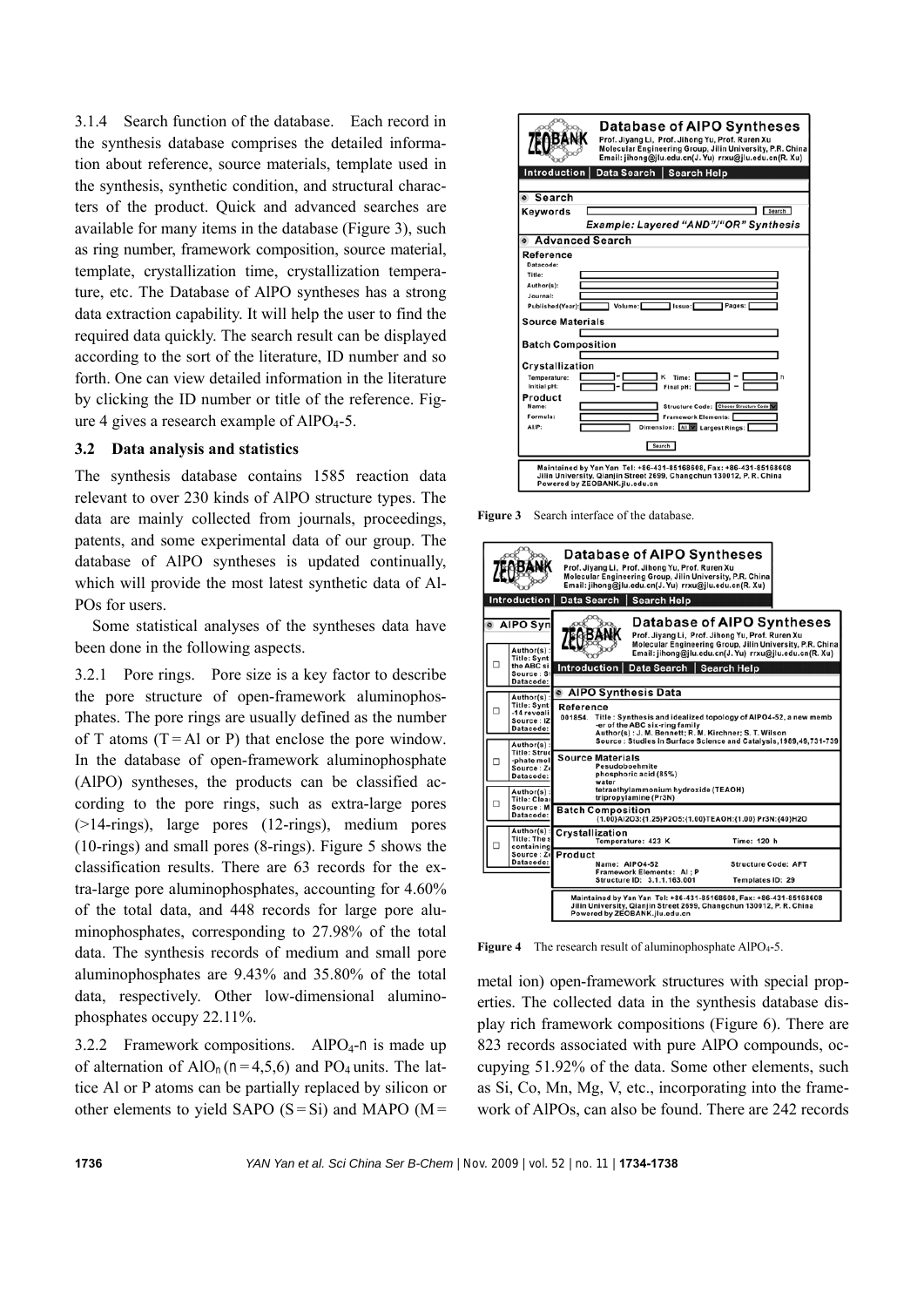3.1.4 Search function of the database. Each record in the synthesis database comprises the detailed information about reference, source materials, template used in the synthesis, synthetic condition, and structural characters of the product. Quick and advanced searches are available for many items in the database (Figure 3), such as ring number, framework composition, source material, template, crystallization time, crystallization temperature, etc. The Database of AlPO syntheses has a strong data extraction capability. It will help the user to find the required data quickly. The search result can be displayed according to the sort of the literature, ID number and so forth. One can view detailed information in the literature by clicking the ID number or title of the reference. Figure 4 gives a research example of  $AIPO<sub>4</sub>$ -5.

#### **3.2 Data analysis and statistics**

The synthesis database contains 1585 reaction data relevant to over 230 kinds of AlPO structure types. The data are mainly collected from journals, proceedings, patents, and some experimental data of our group. The database of AlPO syntheses is updated continually, which will provide the most latest synthetic data of Al-POs for users.

Some statistical analyses of the syntheses data have been done in the following aspects.

3.2.1 Pore rings. Pore size is a key factor to describe the pore structure of open-framework aluminophosphates. The pore rings are usually defined as the number of T atoms  $(T = A1$  or P) that enclose the pore window. In the database of open-framework aluminophosphate (AlPO) syntheses, the products can be classified according to the pore rings, such as extra-large pores (>14-rings), large pores (12-rings), medium pores (10-rings) and small pores (8-rings). Figure 5 shows the classification results. There are 63 records for the extra-large pore aluminophosphates, accounting for 4.60% of the total data, and 448 records for large pore aluminophosphates, corresponding to 27.98% of the total data. The synthesis records of medium and small pore aluminophosphates are 9.43% and 35.80% of the total data, respectively. Other low-dimensional aluminophosphates occupy 22.11%.

3.2.2 Framework compositions. AlPO<sub>4</sub>-*n* is made up of alternation of  $AIO_n(n=4,5,6)$  and PO<sub>4</sub> units. The lattice Al or P atoms can be partially replaced by silicon or other elements to yield SAPO  $(S = Si)$  and MAPO  $(M =$ 



**Figure 3** Search interface of the database.



**Figure 4** The research result of aluminophosphate AlPO<sub>4</sub>-5.

metal ion) open-framework structures with special properties. The collected data in the synthesis database display rich framework compositions (Figure 6). There are 823 records associated with pure AlPO compounds, occupying 51.92% of the data. Some other elements, such as Si, Co, Mn, Mg, V, etc., incorporating into the framework of AlPOs, can also be found. There are 242 records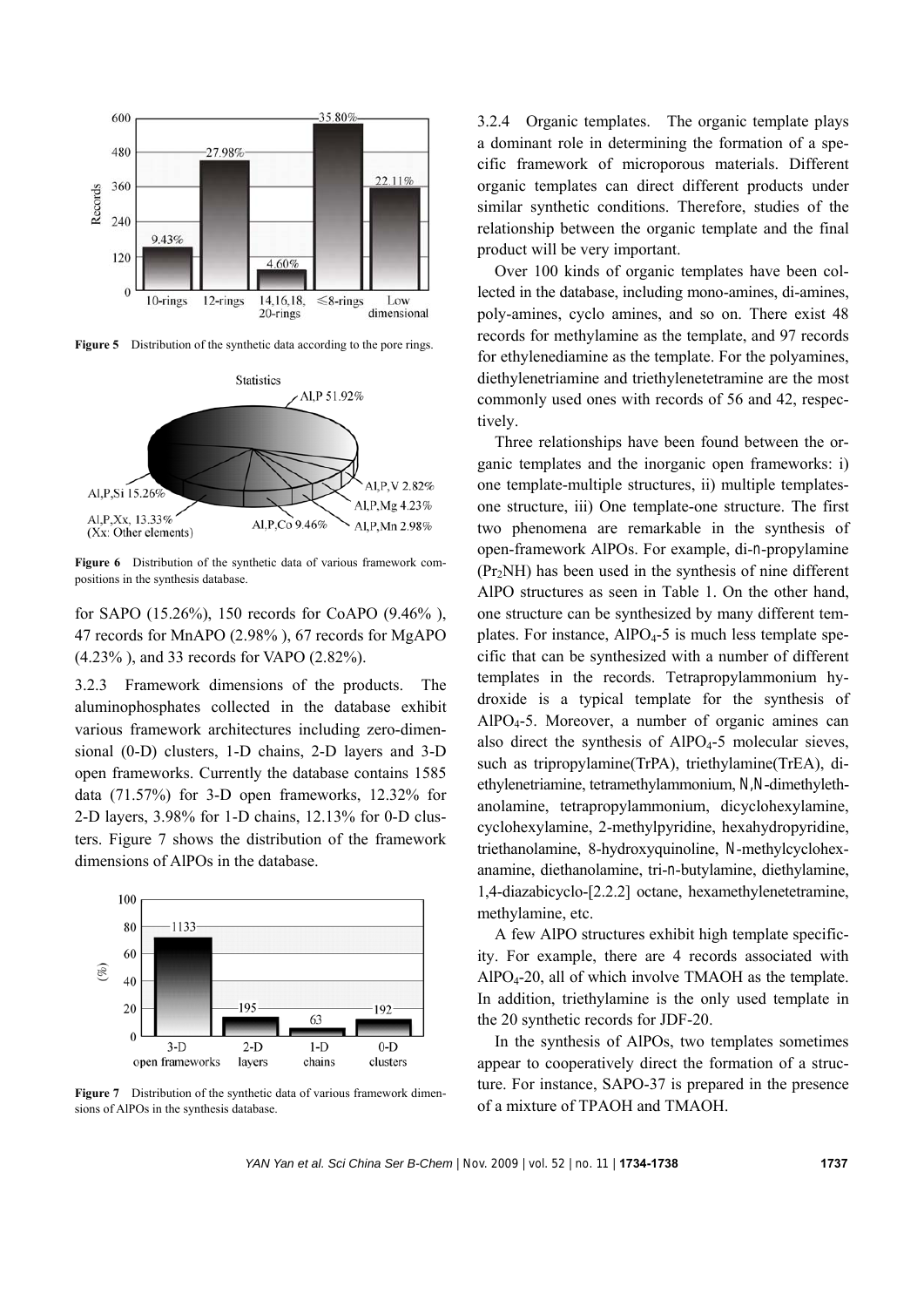

Figure 5 Distribution of the synthetic data according to the pore rings.



**Figure 6** Distribution of the synthetic data of various framework compositions in the synthesis database.

for SAPO (15.26%), 150 records for CoAPO (9.46% ), 47 records for MnAPO (2.98% ), 67 records for MgAPO (4.23% ), and 33 records for VAPO (2.82%).

3.2.3 Framework dimensions of the products. The aluminophosphates collected in the database exhibit various framework architectures including zero-dimensional (0-D) clusters, 1-D chains, 2-D layers and 3-D open frameworks. Currently the database contains 1585 data (71.57%) for 3-D open frameworks, 12.32% for 2-D layers, 3.98% for 1-D chains, 12.13% for 0-D clusters. Figure 7 shows the distribution of the framework dimensions of AlPOs in the database.



Figure 7 Distribution of the synthetic data of various framework dimensions of AlPOs in the synthesis database.

3.2.4 Organic templates. The organic template plays a dominant role in determining the formation of a specific framework of microporous materials. Different organic templates can direct different products under similar synthetic conditions. Therefore, studies of the relationship between the organic template and the final product will be very important.

Over 100 kinds of organic templates have been collected in the database, including mono-amines, di-amines, poly-amines, cyclo amines, and so on. There exist 48 records for methylamine as the template, and 97 records for ethylenediamine as the template. For the polyamines, diethylenetriamine and triethylenetetramine are the most commonly used ones with records of 56 and 42, respectively.

Three relationships have been found between the organic templates and the inorganic open frameworks: i) one template-multiple structures, ii) multiple templatesone structure, iii) One template-one structure. The first two phenomena are remarkable in the synthesis of open-framework AlPOs. For example, di-*n*-propylamine  $(Pr<sub>2</sub>NH)$  has been used in the synthesis of nine different AlPO structures as seen in Table 1. On the other hand, one structure can be synthesized by many different templates. For instance,  $A \parallel PQ_4-5$  is much less template specific that can be synthesized with a number of different templates in the records. Tetrapropylammonium hydroxide is a typical template for the synthesis of AlPO4-5. Moreover, a number of organic amines can also direct the synthesis of  $AIPO<sub>4</sub>$ -5 molecular sieves, such as tripropylamine(TrPA), triethylamine(TrEA), diethylenetriamine, tetramethylammonium, *N,N*-dimethylethanolamine, tetrapropylammonium, dicyclohexylamine, cyclohexylamine, 2-methylpyridine, hexahydropyridine, triethanolamine, 8-hydroxyquinoline, *N*-methylcyclohexanamine, diethanolamine, tri-*n*-butylamine, diethylamine, 1,4-diazabicyclo-[2.2.2] octane, hexamethylenetetramine, methylamine, etc.

A few AlPO structures exhibit high template specificity. For example, there are 4 records associated with AlPO4-20, all of which involve TMAOH as the template. In addition, triethylamine is the only used template in the 20 synthetic records for JDF-20.

In the synthesis of AlPOs, two templates sometimes appear to cooperatively direct the formation of a structure. For instance, SAPO-37 is prepared in the presence of a mixture of TPAOH and TMAOH.

 *YAN Yan et al. Sci China Ser B-Chem* | Nov. 2009 | vol. 52 | no. 11 | **1734-1738 1737**